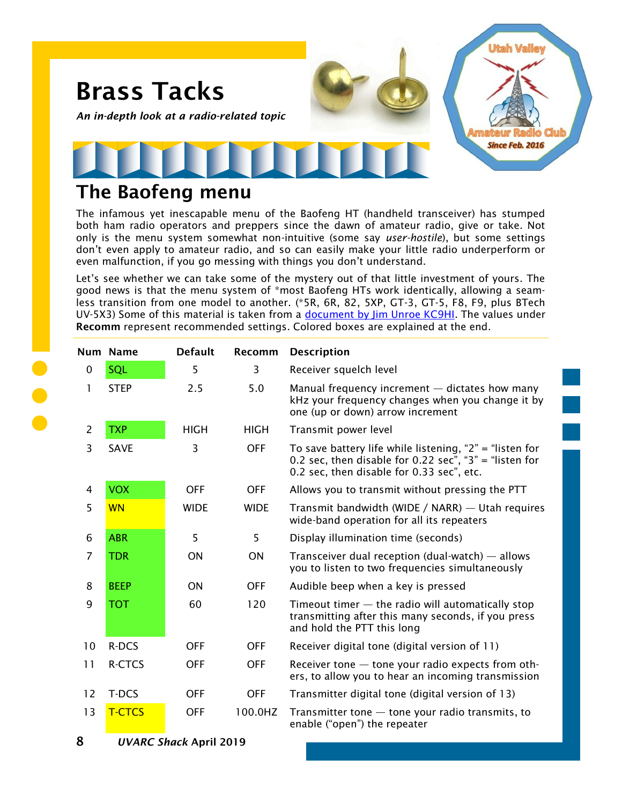

## **The Baofeng menu**

The infamous yet inescapable menu of the Baofeng HT (handheld transceiver) has stumped both ham radio operators and preppers since the dawn of amateur radio, give or take. Not only is the menu system somewhat non-intuitive (some say *user-hostile*), but some settings don't even apply to amateur radio, and so can easily make your little radio underperform or even malfunction, if you go messing with things you don't understand.

Let's see whether we can take some of the mystery out of that little investment of yours. The good news is that the menu system of \*most Baofeng HTs work identically, allowing a seamless transition from one model to another. (\*5R, 6R, 82, 5XP, GT-3, GT-5, F8, F9, plus BTech UV-5X3) Some of this material is taken from a [document by Jim Unroe KC9HI.](http://www.miklor.com/COM/kc9hi/5RMenus.pdf) The values under **Recomm** represent recommended settings. Colored boxes are explained at the end.

|                | Num Name                      | <b>Default</b> | Recomm      | <b>Description</b>                                                                                                                                             |
|----------------|-------------------------------|----------------|-------------|----------------------------------------------------------------------------------------------------------------------------------------------------------------|
| $\mathbf 0$    | SQL                           | 5              | 3           | Receiver squelch level                                                                                                                                         |
| 1              | <b>STEP</b>                   | 2.5            | 5.0         | Manual frequency increment $-$ dictates how many<br>kHz your frequency changes when you change it by<br>one (up or down) arrow increment                       |
| $\overline{2}$ | <b>TXP</b>                    | <b>HIGH</b>    | <b>HIGH</b> | Transmit power level                                                                                                                                           |
| 3              | <b>SAVE</b>                   | 3              | <b>OFF</b>  | To save battery life while listening, "2" = "listen for<br>0.2 sec, then disable for 0.22 sec", "3" = "listen for<br>0.2 sec, then disable for 0.33 sec", etc. |
| 4              | <b>VOX</b>                    | <b>OFF</b>     | <b>OFF</b>  | Allows you to transmit without pressing the PTT                                                                                                                |
| 5              | <b>WN</b>                     | <b>WIDE</b>    | <b>WIDE</b> | Transmit bandwidth (WIDE / NARR) — Utah requires<br>wide-band operation for all its repeaters                                                                  |
| 6              | <b>ABR</b>                    | 5              | 5           | Display illumination time (seconds)                                                                                                                            |
| $\overline{7}$ | <b>TDR</b>                    | ON             | ON          | Transceiver dual reception (dual-watch) $-$ allows<br>you to listen to two frequencies simultaneously                                                          |
| 8              | <b>BEEP</b>                   | <b>ON</b>      | <b>OFF</b>  | Audible beep when a key is pressed                                                                                                                             |
| 9              | <b>TOT</b>                    | 60             | 120         | Timeout timer $-$ the radio will automatically stop<br>transmitting after this many seconds, if you press<br>and hold the PTT this long                        |
| 10             | R-DCS                         | <b>OFF</b>     | <b>OFF</b>  | Receiver digital tone (digital version of 11)                                                                                                                  |
| 11             | R-CTCS                        | <b>OFF</b>     | <b>OFF</b>  | Receiver tone - tone your radio expects from oth-<br>ers, to allow you to hear an incoming transmission                                                        |
| 12             | T-DCS                         | <b>OFF</b>     | <b>OFF</b>  | Transmitter digital tone (digital version of 13)                                                                                                               |
| 13             | <b>T-CTCS</b>                 | <b>OFF</b>     | 100.0HZ     | Transmitter tone $-$ tone your radio transmits, to<br>enable ("open") the repeater                                                                             |
| 8              | <b>UVARC Shack April 2019</b> |                |             |                                                                                                                                                                |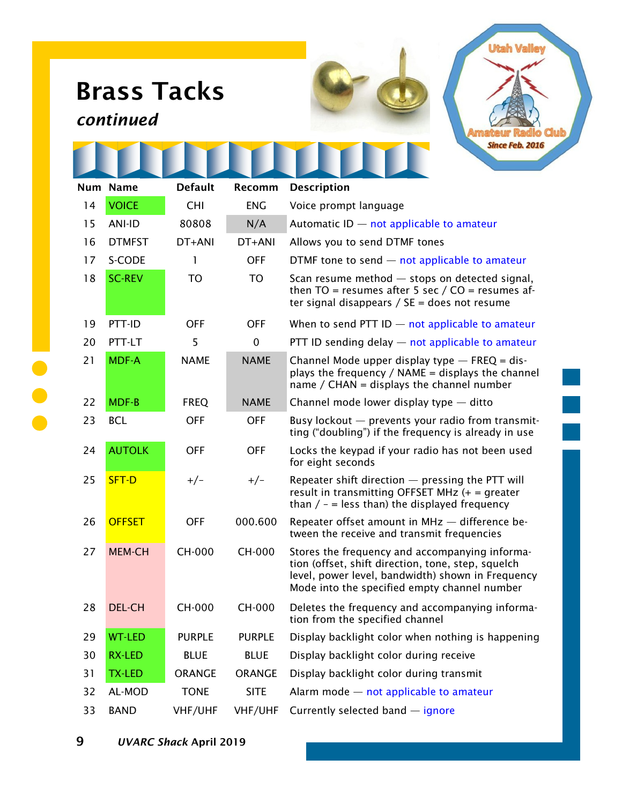## **Brass Tacks**

## *continued*

| <b>Utah Valley</b>        |
|---------------------------|
|                           |
|                           |
| <b>Amateur Radio Club</b> |
| Since Feb. 2016           |
|                           |

|    | Num Name      | <b>Default</b> | Recomm        | <b>Description</b>                                                                                                                                                                                        |
|----|---------------|----------------|---------------|-----------------------------------------------------------------------------------------------------------------------------------------------------------------------------------------------------------|
| 14 | <b>VOICE</b>  | <b>CHI</b>     | <b>ENG</b>    | Voice prompt language                                                                                                                                                                                     |
| 15 | <b>ANI-ID</b> | 80808          | N/A           | Automatic $ID$ – not applicable to amateur                                                                                                                                                                |
| 16 | <b>DTMFST</b> | DT+ANI         | DT+ANI        | Allows you to send DTMF tones                                                                                                                                                                             |
| 17 | S-CODE        | 1              | <b>OFF</b>    | DTMF tone to send $-$ not applicable to amateur                                                                                                                                                           |
| 18 | <b>SC-REV</b> | <b>TO</b>      | <b>TO</b>     | Scan resume method $-$ stops on detected signal,<br>then TO = resumes after 5 sec / $CO$ = resumes af-<br>ter signal disappears / $SE =$ does not resume                                                  |
| 19 | PTT-ID        | <b>OFF</b>     | <b>OFF</b>    | When to send PTT ID $-$ not applicable to amateur                                                                                                                                                         |
| 20 | PTT-LT        | 5              | $\mathbf 0$   | PTT ID sending delay - not applicable to amateur                                                                                                                                                          |
| 21 | <b>MDF-A</b>  | <b>NAME</b>    | <b>NAME</b>   | Channel Mode upper display type $-$ FREQ = dis-<br>plays the frequency / $NAME = displays the channel$<br>name / CHAN = displays the channel number                                                       |
| 22 | <b>MDF-B</b>  | <b>FREQ</b>    | <b>NAME</b>   | Channel mode lower display type - ditto                                                                                                                                                                   |
| 23 | <b>BCL</b>    | <b>OFF</b>     | <b>OFF</b>    | Busy lockout - prevents your radio from transmit-<br>ting ("doubling") if the frequency is already in use                                                                                                 |
| 24 | <b>AUTOLK</b> | <b>OFF</b>     | <b>OFF</b>    | Locks the keypad if your radio has not been used<br>for eight seconds                                                                                                                                     |
| 25 | SFT-D         | $+/-$          | $+/-$         | Repeater shift direction - pressing the PTT will<br>result in transmitting OFFSET MHz $(+)$ = greater<br>than $/ -$ = less than) the displayed frequency                                                  |
| 26 | <b>OFFSET</b> | <b>OFF</b>     | 000.600       | Repeater offset amount in MHz - difference be-<br>tween the receive and transmit frequencies                                                                                                              |
| 27 | <b>MEM-CH</b> | <b>CH-000</b>  | <b>CH-000</b> | Stores the frequency and accompanying informa-<br>tion (offset, shift direction, tone, step, squelch<br>level, power level, bandwidth) shown in Frequency<br>Mode into the specified empty channel number |
| 28 | <b>DEL-CH</b> | <b>CH-000</b>  | <b>CH-000</b> | Deletes the frequency and accompanying informa-<br>tion from the specified channel                                                                                                                        |
| 29 | <b>WT-LED</b> | <b>PURPLE</b>  | PURPLE        | Display backlight color when nothing is happening                                                                                                                                                         |
| 30 | RX-LED        | <b>BLUE</b>    | <b>BLUE</b>   | Display backlight color during receive                                                                                                                                                                    |
| 31 | TX-LED        | ORANGE         | <b>ORANGE</b> | Display backlight color during transmit                                                                                                                                                                   |
| 32 | AL-MOD        | <b>TONE</b>    | <b>SITE</b>   | Alarm mode - not applicable to amateur                                                                                                                                                                    |
| 33 | <b>BAND</b>   | VHF/UHF        | VHF/UHF       | Currently selected band - ignore                                                                                                                                                                          |